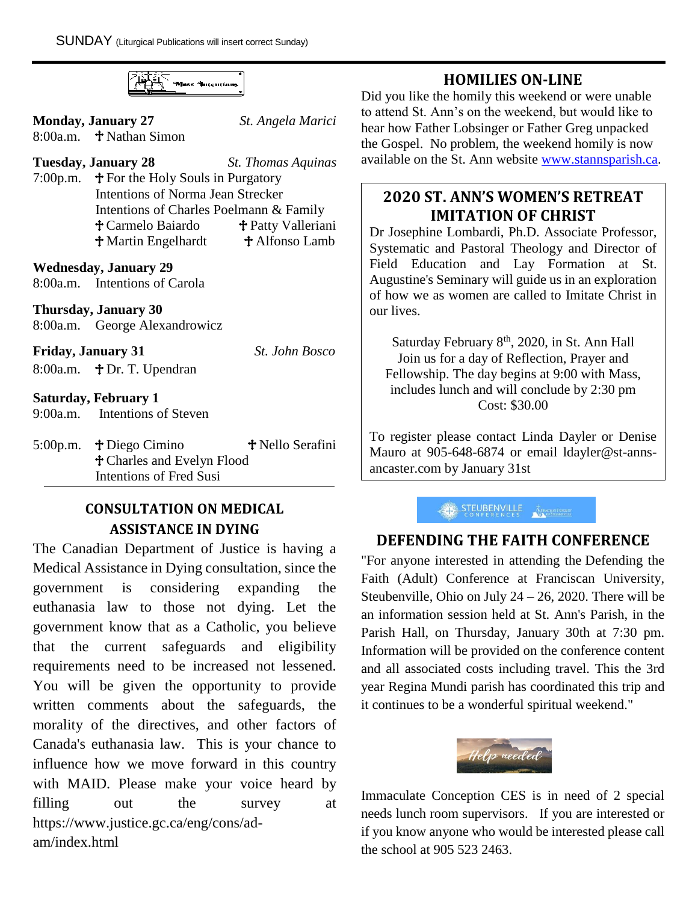

**Monday, January 27** *St. Angela Marici*

8:00a.m.  $\pm$  Nathan Simon

#### **Tuesday, January 28** *St. Thomas Aquinas*

7:00p.m.  $\mathbf{\hat{T}}$  For the Holy Souls in Purgatory Intentions of Norma Jean Strecker Intentions of Charles Poelmann & Family <sup>†</sup> Carmelo Baiardo † Patty Valleriani **† Martin Engelhardt † Alfonso Lamb** 

#### **Wednesday, January 29**

8:00a.m. Intentions of Carola

#### **Thursday, January 30**

8:00a.m. George Alexandrowicz

## **Friday, January 31** *St. John Bosco*

8:00a.m.  $\text{ }$  + Dr. T. Upendran

## **Saturday, February 1**

- 9:00a.m. Intentions of Steven
- 5:00p.m.  $\uparrow$  Diego Cimino  $\uparrow$  Nello Serafini Charles and Evelyn Flood Intentions of Fred Susi

## **CONSULTATION ON MEDICAL ASSISTANCE IN DYING**

The Canadian Department of Justice is having a Medical Assistance in Dying consultation, since the government is considering expanding the euthanasia law to those not dying. Let the government know that as a Catholic, you believe that the current safeguards and eligibility requirements need to be increased not lessened. You will be given the opportunity to provide written comments about the safeguards, the morality of the directives, and other factors of Canada's euthanasia law. This is your chance to influence how we move forward in this country with MAID. Please make your voice heard by filling out the survey at https://www.justice.gc.ca/eng/cons/adam/index.html

**HOMILIES ON-LINE** Did you like the homily this weekend or were unable to attend St. Ann's on the weekend, but would like to hear how Father Lobsinger or Father Greg unpacked the Gospel. No problem, the weekend homily is now available on the St. Ann website [www.stannsparish.ca.](http://www.stannsparish.ca/)

## **2020 ST. ANN'S WOMEN'S RETREAT IMITATION OF CHRIST**

Dr Josephine Lombardi, Ph.D. Associate Professor, Systematic and Pastoral Theology and Director of Field Education and Lay Formation at St. Augustine's Seminary will guide us in an exploration of how we as women are called to Imitate Christ in our lives.

Saturday February 8<sup>th</sup>, 2020, in St. Ann Hall Join us for a day of Reflection, Prayer and Fellowship. The day begins at 9:00 with Mass, includes lunch and will conclude by 2:30 pm Cost: \$30.00

To register please contact Linda Dayler or Denise Mauro at 905-648-6874 or email ldayler@st-annsancaster.com by January 31st

#### STEUBENVILLE **ERINGEN UNIVERSITY**

## **DEFENDING THE FAITH CONFERENCE**

"For anyone interested in attending the Defending the Faith (Adult) Conference at Franciscan University, Steubenville, Ohio on July 24 – 26, 2020. There will be an information session held at St. Ann's Parish, in the Parish Hall, on Thursday, January 30th at 7:30 pm. Information will be provided on the conference content and all associated costs including travel. This the 3rd year Regina Mundi parish has coordinated this trip and it continues to be a wonderful spiritual weekend."



Immaculate Conception CES is in need of 2 special needs lunch room supervisors. If you are interested or if you know anyone who would be interested please call the school at 905 523 2463.